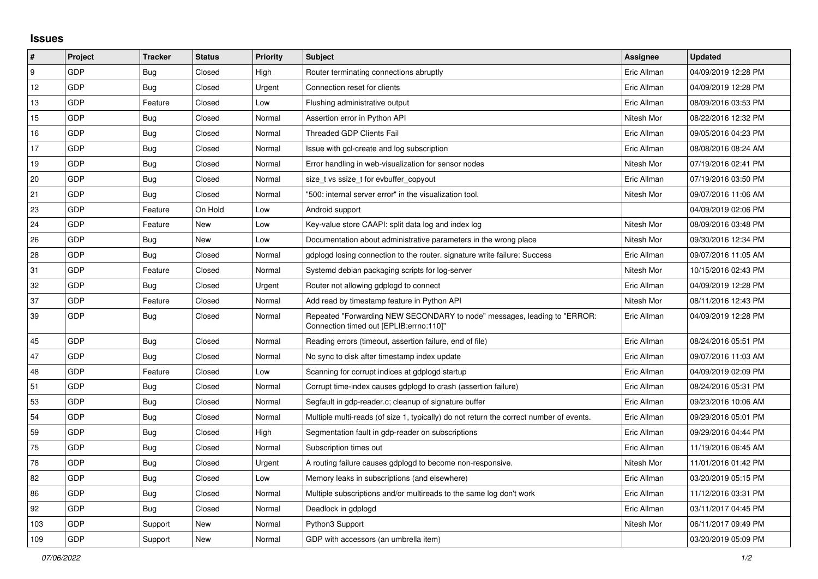## **Issues**

| $\vert$ # | Project    | <b>Tracker</b> | <b>Status</b> | <b>Priority</b> | <b>Subject</b>                                                                                                      | <b>Assignee</b> | <b>Updated</b>      |
|-----------|------------|----------------|---------------|-----------------|---------------------------------------------------------------------------------------------------------------------|-----------------|---------------------|
| 9         | GDP        | Bug            | Closed        | High            | Router terminating connections abruptly                                                                             | Eric Allman     | 04/09/2019 12:28 PM |
| 12        | GDP        | Bug            | Closed        | Urgent          | Connection reset for clients                                                                                        | Eric Allman     | 04/09/2019 12:28 PM |
| 13        | GDP        | Feature        | Closed        | Low             | Flushing administrative output                                                                                      | Eric Allman     | 08/09/2016 03:53 PM |
| 15        | GDP        | Bug            | Closed        | Normal          | Assertion error in Python API                                                                                       | Nitesh Mor      | 08/22/2016 12:32 PM |
| 16        | GDP        | Bug            | Closed        | Normal          | <b>Threaded GDP Clients Fail</b>                                                                                    | Eric Allman     | 09/05/2016 04:23 PM |
| 17        | GDP        | <b>Bug</b>     | Closed        | Normal          | Issue with gcl-create and log subscription                                                                          | Eric Allman     | 08/08/2016 08:24 AM |
| 19        | GDP        | <b>Bug</b>     | Closed        | Normal          | Error handling in web-visualization for sensor nodes                                                                | Nitesh Mor      | 07/19/2016 02:41 PM |
| 20        | GDP        | <b>Bug</b>     | Closed        | Normal          | size t vs ssize t for evbuffer copyout                                                                              | Eric Allman     | 07/19/2016 03:50 PM |
| 21        | GDP        | Bug            | Closed        | Normal          | "500: internal server error" in the visualization tool.                                                             | Nitesh Mor      | 09/07/2016 11:06 AM |
| 23        | <b>GDP</b> | Feature        | On Hold       | Low             | Android support                                                                                                     |                 | 04/09/2019 02:06 PM |
| 24        | GDP        | Feature        | New           | Low             | Key-value store CAAPI: split data log and index log                                                                 | Nitesh Mor      | 08/09/2016 03:48 PM |
| 26        | GDP        | Bug            | New           | Low             | Documentation about administrative parameters in the wrong place                                                    | Nitesh Mor      | 09/30/2016 12:34 PM |
| 28        | GDP        | Bug            | Closed        | Normal          | gdplogd losing connection to the router. signature write failure: Success                                           | Eric Allman     | 09/07/2016 11:05 AM |
| 31        | GDP        | Feature        | Closed        | Normal          | Systemd debian packaging scripts for log-server                                                                     | Nitesh Mor      | 10/15/2016 02:43 PM |
| 32        | GDP        | Bug            | Closed        | Urgent          | Router not allowing gdplogd to connect                                                                              | Eric Allman     | 04/09/2019 12:28 PM |
| 37        | GDP        | Feature        | Closed        | Normal          | Add read by timestamp feature in Python API                                                                         | Nitesh Mor      | 08/11/2016 12:43 PM |
| 39        | GDP        | <b>Bug</b>     | Closed        | Normal          | Repeated "Forwarding NEW SECONDARY to node" messages, leading to "ERROR:<br>"Connection timed out [EPLIB:errno:110] | Eric Allman     | 04/09/2019 12:28 PM |
| 45        | GDP        | Bug            | Closed        | Normal          | Reading errors (timeout, assertion failure, end of file)                                                            | Eric Allman     | 08/24/2016 05:51 PM |
| 47        | GDP        | Bug            | Closed        | Normal          | No sync to disk after timestamp index update                                                                        | Eric Allman     | 09/07/2016 11:03 AM |
| 48        | GDP        | Feature        | Closed        | Low             | Scanning for corrupt indices at gdplogd startup                                                                     | Eric Allman     | 04/09/2019 02:09 PM |
| 51        | GDP        | <b>Bug</b>     | Closed        | Normal          | Corrupt time-index causes gdplogd to crash (assertion failure)                                                      | Eric Allman     | 08/24/2016 05:31 PM |
| 53        | GDP        | Bug            | Closed        | Normal          | Segfault in gdp-reader.c; cleanup of signature buffer                                                               | Eric Allman     | 09/23/2016 10:06 AM |
| 54        | GDP        | Bug            | Closed        | Normal          | Multiple multi-reads (of size 1, typically) do not return the correct number of events.                             | Eric Allman     | 09/29/2016 05:01 PM |
| 59        | GDP        | Bug            | Closed        | High            | Segmentation fault in gdp-reader on subscriptions                                                                   | Eric Allman     | 09/29/2016 04:44 PM |
| 75        | GDP        | Bug            | Closed        | Normal          | Subscription times out                                                                                              | Eric Allman     | 11/19/2016 06:45 AM |
| 78        | GDP        | <b>Bug</b>     | Closed        | Urgent          | A routing failure causes gdplogd to become non-responsive.                                                          | Nitesh Mor      | 11/01/2016 01:42 PM |
| 82        | GDP        | <b>Bug</b>     | Closed        | Low             | Memory leaks in subscriptions (and elsewhere)                                                                       | Eric Allman     | 03/20/2019 05:15 PM |
| 86        | GDP        | <b>Bug</b>     | Closed        | Normal          | Multiple subscriptions and/or multireads to the same log don't work                                                 | Eric Allman     | 11/12/2016 03:31 PM |
| 92        | <b>GDP</b> | Bug            | Closed        | Normal          | Deadlock in gdplogd                                                                                                 | Eric Allman     | 03/11/2017 04:45 PM |
| 103       | GDP        | Support        | New           | Normal          | Python3 Support                                                                                                     | Nitesh Mor      | 06/11/2017 09:49 PM |
| 109       | GDP        | Support        | New           | Normal          | GDP with accessors (an umbrella item)                                                                               |                 | 03/20/2019 05:09 PM |